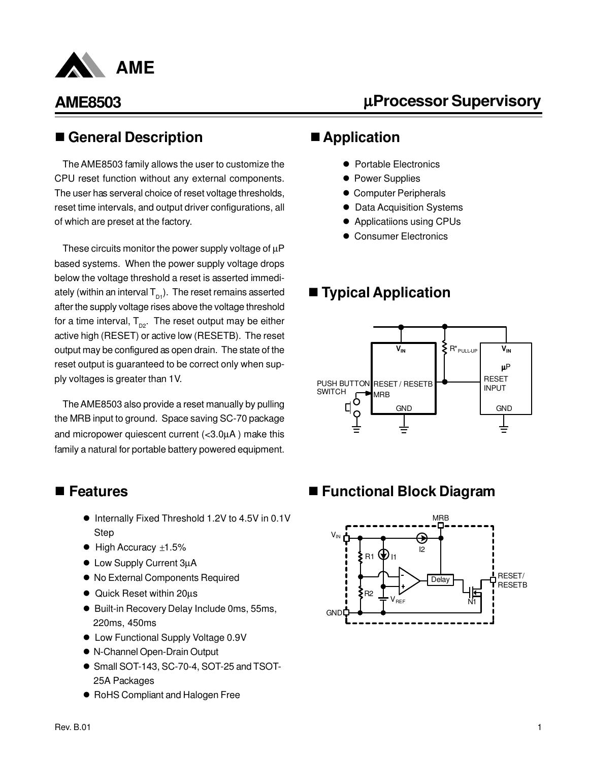

# µ**Processor Supervisory**

### n **General Description**

The AME8503 family allows the user to customize the CPU reset function without any external components. The user has serveral choice of reset voltage thresholds, reset time intervals, and output driver configurations, all of which are preset at the factory.

These circuits monitor the power supply voltage of  $\mu$ P based systems. When the power supply voltage drops below the voltage threshold a reset is asserted immediately (within an interval  $T_{p1}$ ). The reset remains asserted after the supply voltage rises above the voltage threshold for a time interval,  $T_{p2}$ . The reset output may be either active high (RESET) or active low (RESETB). The reset output may be configured as open drain. The state of the reset output is guaranteed to be correct only when supply voltages is greater than 1V.

The AME8503 also provide a reset manually by pulling the MRB input to ground. Space saving SC-70 package and micropower quiescent current (<3.0µA ) make this family a natural for portable battery powered equipment.

### ■ Features

- Internally Fixed Threshold 1.2V to 4.5V in 0.1V Step
- $\bullet$  High Accuracy  $\pm 1.5\%$
- Low Supply Current 3µA
- $\bullet$  No External Components Required
- Quick Reset within 20us
- Built-in Recovery Delay Include 0ms, 55ms, 220ms, 450ms
- Low Functional Supply Voltage 0.9V
- l N-Channel Open-Drain Output
- Small SOT-143, SC-70-4, SOT-25 and TSOT-25A Packages
- RoHS Compliant and Halogen Free

### ■ Application

- Portable Electronics
- **Power Supplies**
- **Computer Peripherals**
- **Data Acquisition Systems**
- Applicatiions using CPUs
- **Consumer Electronics**

### ■ **Typical Application**



### ■ Functional Block Diagram

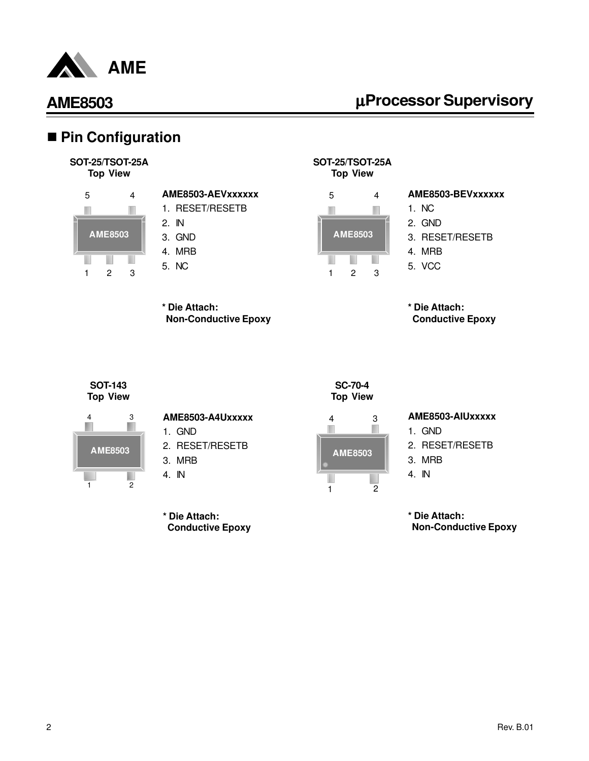

# µ**Processor Supervisory**

### ■ Pin Configuration

**SOT-25/TSOT-25A Top View**



#### **AME8503-AEVxxxxxx** 1. RESET/RESETB

- 2. IN
- 3. GND
- 4. MRB
- 5. NC

**\* Die Attach:**

 **Non-Conductive Epoxy**



# **Top View**



**SOT-25/TSOT-25A**

#### **AME8503-BEVxxxxxx**

- 1. NC
- 2. GND
- 3. RESET/RESETB
- 4. MRB
- 5. VCC

**\* Die Attach: Conductive Epoxy**

**SOT-143 Top View**



| AME8503-A4Uxxxxx |
|------------------|
|------------------|

1. GND

- 2. RESET/RESETB
- 3. MRB
- 4. IN

**\* Die Attach: Conductive Epoxy**





#### **AME8503-AIUxxxxx**

1. GND

- 2. RESET/RESETB
- 3. MRB
- 4. IN

**\* Die Attach: Non-Conductive Epoxy**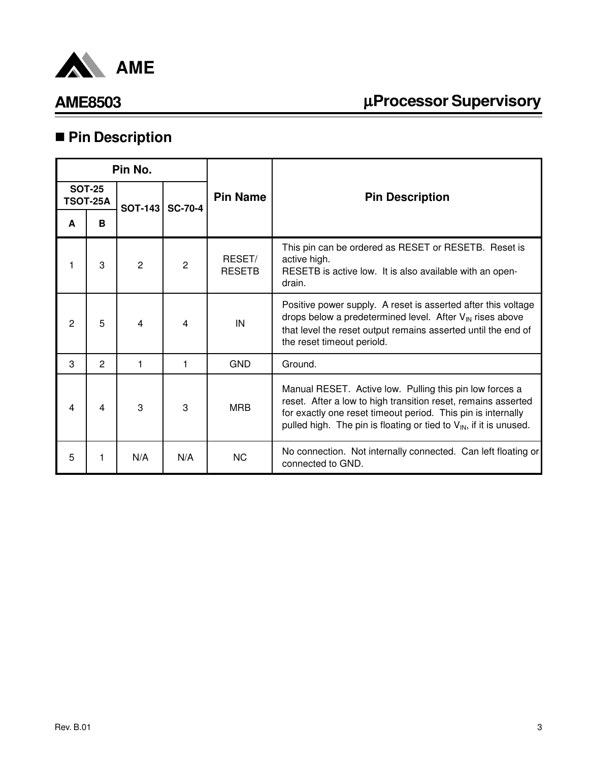

# µ**Processor Supervisory**

# n **Pin Description**

| Pin No. |                                  |                |                |                         |                                                                                                                                                                                                                                                                            |
|---------|----------------------------------|----------------|----------------|-------------------------|----------------------------------------------------------------------------------------------------------------------------------------------------------------------------------------------------------------------------------------------------------------------------|
|         | <b>SOT-25</b><br><b>TSOT-25A</b> | <b>SOT-143</b> | <b>SC-70-4</b> | <b>Pin Name</b>         | <b>Pin Description</b>                                                                                                                                                                                                                                                     |
| A       | в                                |                |                |                         |                                                                                                                                                                                                                                                                            |
|         | 3                                | $\overline{2}$ | 2              | RESET/<br><b>RESETB</b> | This pin can be ordered as RESET or RESETB. Reset is<br>active high.<br>RESETB is active low. It is also available with an open-<br>drain.                                                                                                                                 |
| 2       | 5                                | 4              | 4              | IN                      | Positive power supply. A reset is asserted after this voltage<br>drops below a predetermined level. After $V_{IN}$ rises above<br>that level the reset output remains asserted until the end of<br>the reset timeout periold.                                              |
| 3       | 2                                | 1              | 1              | <b>GND</b>              | Ground.                                                                                                                                                                                                                                                                    |
| 4       | 4                                | 3              | 3              | <b>MRB</b>              | Manual RESET. Active low. Pulling this pin low forces a<br>reset. After a low to high transition reset, remains asserted<br>for exactly one reset timeout period. This pin is internally<br>pulled high. The pin is floating or tied to $V_{\text{IN}}$ , if it is unused. |
| 5       |                                  | N/A            | N/A            | <b>NC</b>               | No connection. Not internally connected. Can left floating or<br>connected to GND.                                                                                                                                                                                         |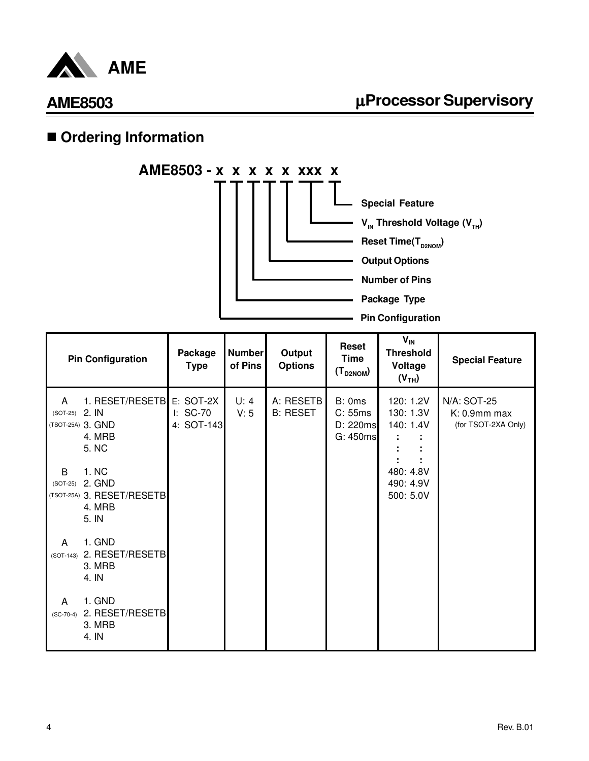

# $\blacksquare$  **Ordering Information**



| <b>Pin Configuration</b> |                                                                  | Package<br><b>Type</b> | <b>Number</b><br>of Pins | Output<br><b>Options</b>     | Reset<br><b>Time</b><br>$(T_{D2NOM})$     | $V_{IN}$<br><b>Threshold</b><br>Voltage<br>(V <sub>TH</sub> ) | <b>Special Feature</b>                                |
|--------------------------|------------------------------------------------------------------|------------------------|--------------------------|------------------------------|-------------------------------------------|---------------------------------------------------------------|-------------------------------------------------------|
| A<br>(SOT-25) 2. IN      | 1. RESET/RESETBE: SOT-2X<br>(TSOT-25A) 3. GND<br>4. MRB<br>5. NC | I: SC-70<br>4: SOT-143 | U: 4<br>V: 5             | A: RESETB<br><b>B: RESET</b> | B: 0ms<br>C: 55ms<br>D: 220ms<br>G: 450ms | 120: 1.2V<br>130: 1.3V<br>140: 1.4V                           | N/A: SOT-25<br>$K: 0.9$ mm max<br>(for TSOT-2XA Only) |
| B<br>$(SOT-25)$          | 1. NC<br>2. GND<br>(TSOT-25A) 3. RESET/RESETB<br>4. MRB<br>5. IN |                        |                          |                              |                                           | 480: 4.8V<br>490: 4.9V<br>500: 5.0V                           |                                                       |
| A<br>$(SOT-143)$         | 1. GND<br>2. RESET/RESETB<br>3. MRB<br>4. IN                     |                        |                          |                              |                                           |                                                               |                                                       |
| A<br>$(SC-70-4)$         | 1. GND<br>2. RESET/RESETB<br>3. MRB<br>4. IN                     |                        |                          |                              |                                           |                                                               |                                                       |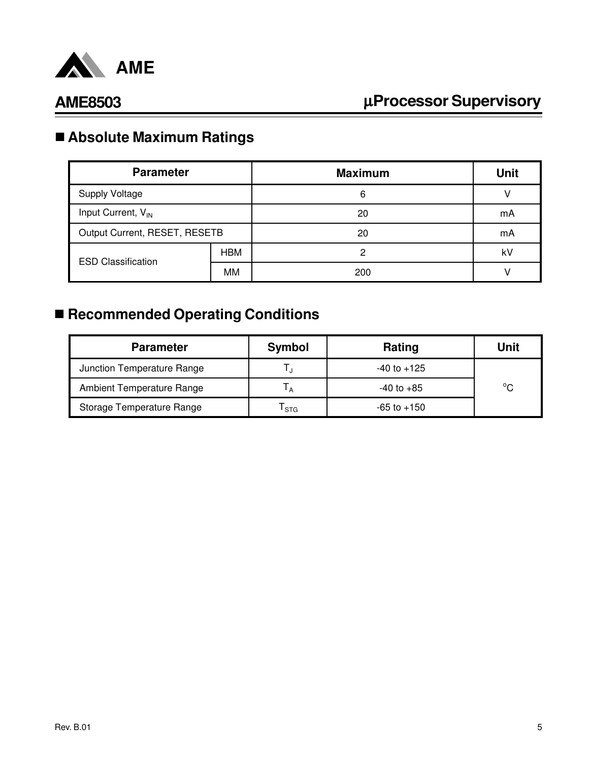

# n **Absolute Maximum Ratings**

| <b>Parameter</b>               |            | <b>Maximum</b> | <b>Unit</b> |
|--------------------------------|------------|----------------|-------------|
| <b>Supply Voltage</b>          |            | 6              |             |
| Input Current, V <sub>IN</sub> |            | 20             | mA          |
| Output Current, RESET, RESETB  |            | 20             | mA          |
| <b>ESD Classification</b>      | <b>HBM</b> | 2              | k٧          |
|                                | MМ         | 200            |             |

# ■ Recommended Operating Conditions

| <b>Parameter</b>           | <b>Symbol</b> | Rating          | Unit         |
|----------------------------|---------------|-----------------|--------------|
| Junction Temperature Range |               | $-40$ to $+125$ |              |
| Ambient Temperature Range  |               | $-40$ to $+85$  | $^{\circ}$ C |
| Storage Temperature Range  | <b>STG</b>    | $-65$ to $+150$ |              |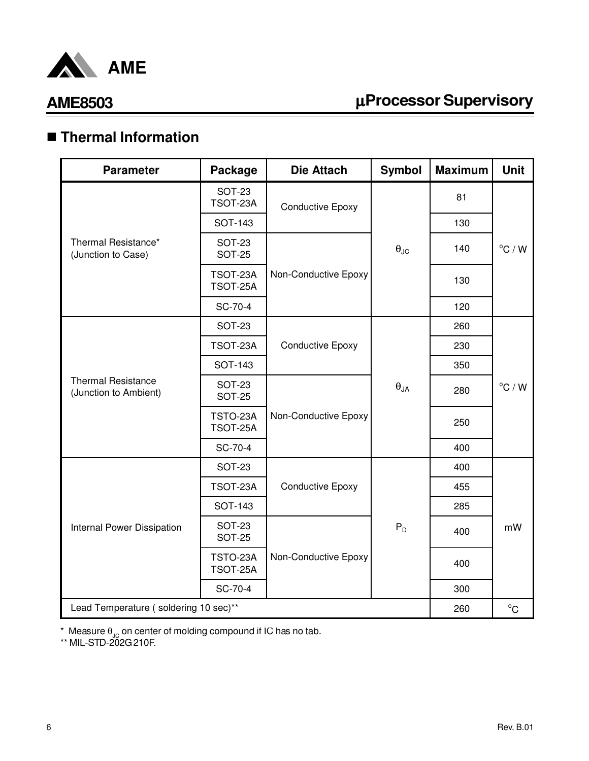

# µ**Processor Supervisory**

# n **Thermal Information**

| <b>Parameter</b>                                   | Package                        | <b>Die Attach</b>       | <b>Symbol</b>          | <b>Maximum</b> | <b>Unit</b>      |
|----------------------------------------------------|--------------------------------|-------------------------|------------------------|----------------|------------------|
|                                                    | <b>SOT-23</b><br>TSOT-23A      | <b>Conductive Epoxy</b> |                        | 81             |                  |
|                                                    | <b>SOT-143</b>                 |                         |                        | 130            |                  |
| Thermal Resistance*<br>(Junction to Case)          | <b>SOT-23</b><br><b>SOT-25</b> |                         | $\theta_{\text{JC}}$   | 140            | $^{\circ}$ C / W |
|                                                    | TSOT-23A<br>TSOT-25A           | Non-Conductive Epoxy    |                        | 130            |                  |
|                                                    | SC-70-4                        |                         |                        | 120            |                  |
|                                                    | <b>SOT-23</b>                  |                         |                        | 260            |                  |
|                                                    | TSOT-23A                       | <b>Conductive Epoxy</b> | $\theta_{\mathsf{JA}}$ | 230            | $^{\circ}$ C / W |
|                                                    | <b>SOT-143</b>                 |                         |                        | 350            |                  |
| <b>Thermal Resistance</b><br>(Junction to Ambient) | <b>SOT-23</b><br><b>SOT-25</b> |                         |                        | 280            |                  |
|                                                    | TSTO-23A<br>TSOT-25A           | Non-Conductive Epoxy    |                        | 250            |                  |
|                                                    | SC-70-4                        |                         |                        | 400            |                  |
|                                                    | <b>SOT-23</b>                  |                         |                        | 400            |                  |
|                                                    | TSOT-23A                       | <b>Conductive Epoxy</b> |                        | 455            |                  |
|                                                    | <b>SOT-143</b>                 |                         |                        | 285            |                  |
| Internal Power Dissipation                         | <b>SOT-23</b><br><b>SOT-25</b> |                         | $P_D$                  | 400            | mW               |
|                                                    | TSTO-23A<br>TSOT-25A           | Non-Conductive Epoxy    |                        | 400            |                  |
|                                                    | SC-70-4                        |                         |                        | 300            |                  |
| Lead Temperature (soldering 10 sec)**              |                                |                         |                        | 260            | $^{\circ}$ C     |

 $^*$  Measure  $\theta_{\text{JC}}$  on center of molding compound if IC has no tab.

\*\* MIL-STD-202G 210F.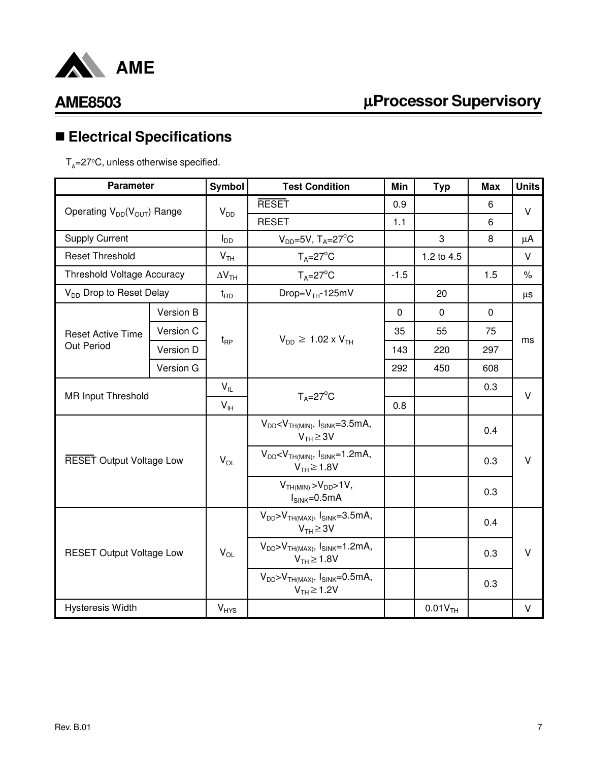

# µ**Processor Supervisory**

# n **Electrical Specifications**

 $T_{\rm A}$ =27°C, unless otherwise specified.

| <b>Parameter</b>                    |           | Symbol                   | <b>Test Condition</b>                                              | Min         | <b>Typ</b>            | <b>Max</b>  | <b>Units</b> |  |
|-------------------------------------|-----------|--------------------------|--------------------------------------------------------------------|-------------|-----------------------|-------------|--------------|--|
| Operating $V_{DD}(V_{OUT})$ Range   |           | $V_{DD}$                 | <b>RESET</b>                                                       | 0.9         |                       | 6           | $\vee$       |  |
|                                     |           |                          | <b>RESET</b>                                                       | 1.1         |                       | 6           |              |  |
| <b>Supply Current</b>               |           | I <sub>DD</sub>          | $V_{DD} = 5V$ , T <sub>A</sub> $= 27^{\circ}$ C                    |             | 3                     | 8           | μA           |  |
| <b>Reset Threshold</b>              |           | V <sub>TH</sub>          | $T_A = 27$ °C                                                      |             | 1.2 to 4.5            |             | V            |  |
| <b>Threshold Voltage Accuracy</b>   |           | $\Delta V$ <sub>TH</sub> | $T_A = 27^\circ C$                                                 | $-1.5$      |                       | 1.5         | $\%$         |  |
| V <sub>DD</sub> Drop to Reset Delay |           | $t_{RD}$                 | Drop= $VTH$ -125mV                                                 |             | 20                    |             | μs           |  |
|                                     | Version B |                          |                                                                    | $\mathbf 0$ | $\mathbf 0$           | $\mathbf 0$ |              |  |
| <b>Reset Active Time</b>            | Version C |                          |                                                                    | 35          | 55                    | 75          |              |  |
| Out Period                          | Version D | $t_{\mathsf{RP}}$        | $V_{DD} \ge 1.02 \times V_{TH}$                                    | 143         | 220                   | 297         | ms           |  |
|                                     | Version G |                          |                                                                    | 292         | 450                   | 608         |              |  |
|                                     |           | $V_{IL}$                 |                                                                    |             |                       | 0.3         | V            |  |
| <b>MR Input Threshold</b>           |           | $V_{IH}$                 | $T_A = 27^\circ C$                                                 | 0.8         |                       |             |              |  |
|                                     |           |                          | $V_{DD}$ < $V_{TH(MIN)}$ , $I_{SINK}$ =3.5mA,<br>$V_{TH} \geq 3V$  |             |                       | 0.4         |              |  |
| <b>RESET Output Voltage Low</b>     |           | $V_{OL}$                 | $V_{DD}$ < $V_{TH(MIN)}$ , $I_{SINK}$ =1.2mA,<br>$V_{TH} \ge 1.8V$ |             |                       | 0.3         | V            |  |
|                                     |           |                          | $VTH(MIN) > VDD > 1V$ ,<br>$I_{SINK}=0.5mA$                        |             |                       | 0.3         |              |  |
| <b>RESET Output Voltage Low</b>     |           |                          | $V_{DD} > V_{TH(MAX)}$ , $I_{SINK} = 3.5mA$ ,<br>$V_{TH} \geq 3V$  |             |                       | 0.4         |              |  |
|                                     |           | $V_{OL}$                 | $V_{DD} > V_{TH(MAX)}$ , $I_{SINK} = 1.2mA$ ,<br>$V_{TH} \ge 1.8V$ |             |                       | 0.3         | V            |  |
|                                     |           |                          | $V_{DD} > V_{TH(MAX)}$ , $I_{SINK} = 0.5mA$ ,<br>$V_{TH} \ge 1.2V$ |             |                       | 0.3         |              |  |
| <b>Hysteresis Width</b>             |           | <b>V<sub>HYS</sub></b>   |                                                                    |             | $0.01V$ <sub>TH</sub> |             | V            |  |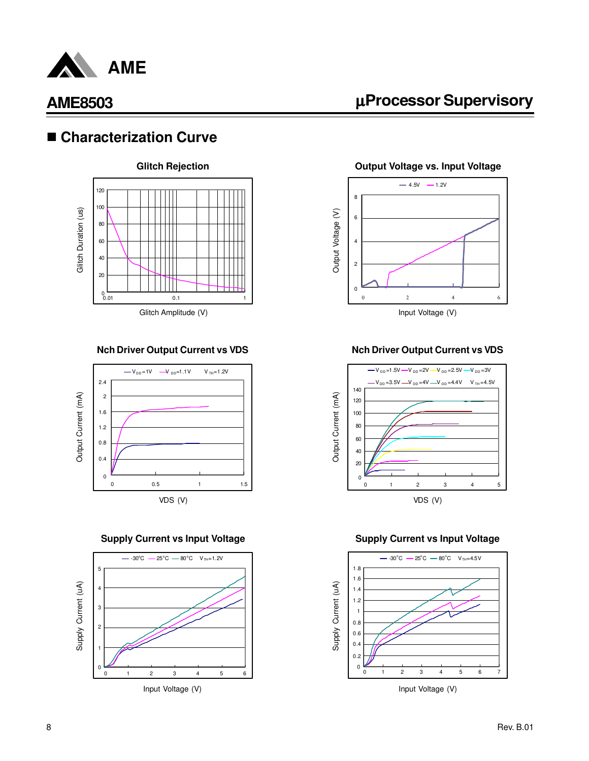

### ■ Characterization Curve



#### **Nch Driver Output Current vs VDS**





# µ**Processor Supervisory**

**Output Voltage vs. Input Voltage**



#### **Nch Driver Output Current vs VDS**



#### **Supply Current vs Input Voltage Supply Current vs Input Voltage**

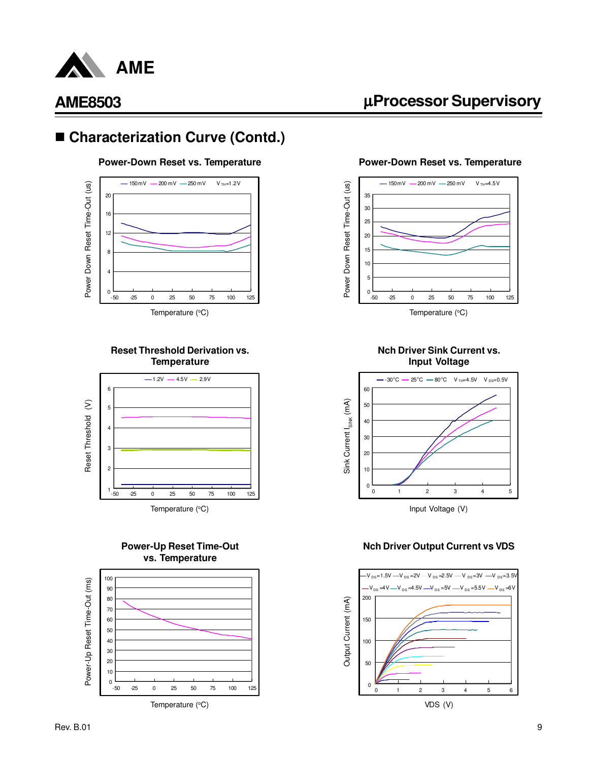

### ■ Characterization Curve (Contd.)



#### **Reset Threshold Derivation vs. Temperature**



#### **Power-Up Reset Time-Out vs. Temperature**



Temperature  $(^{\circ}C)$ 

### µ**Processor Supervisory**

#### **Power-Down Reset vs. Temperature Power-Down Reset vs. Temperature**



Temperature  $(^{\circ}C)$ 

#### **Nch Driver Sink Current vs. Input Voltage**



#### **Nch Driver Output Current vs VDS**

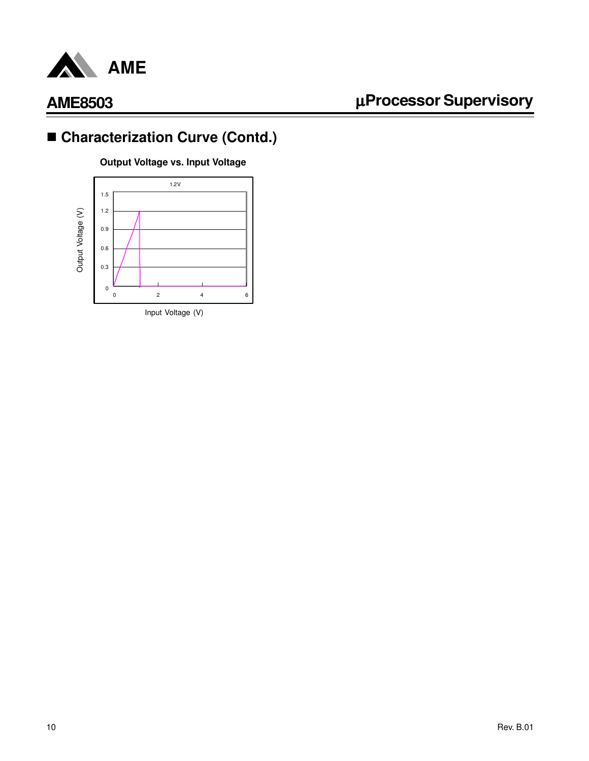

# ■ Characterization Curve (Contd.)

**Output Voltage vs. Input Voltage**

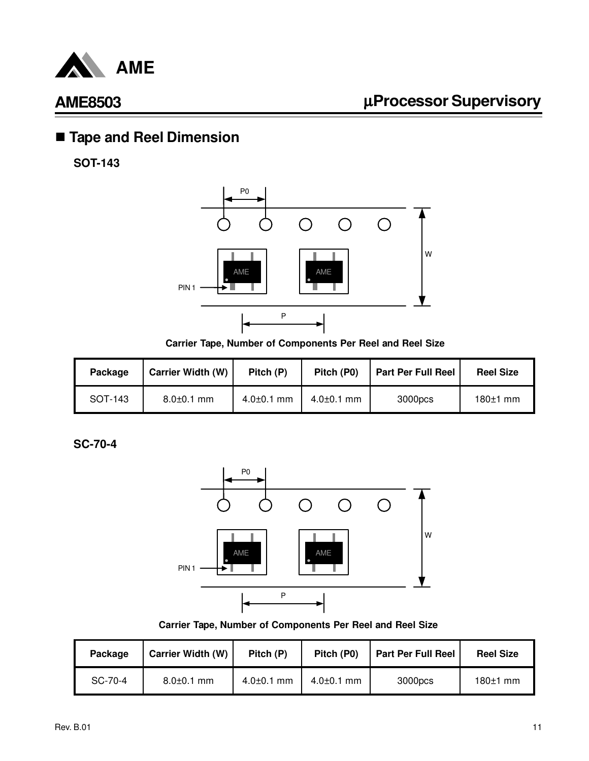

# n **Tape and Reel Dimension**

**SOT-143**



**Carrier Tape, Number of Components Per Reel and Reel Size**

| Package | <b>Carrier Width (W)</b> | Pitch (P)        | Pitch (P0)       | <b>Part Per Full Reel</b> | <b>Reel Size</b> |
|---------|--------------------------|------------------|------------------|---------------------------|------------------|
| SOT-143 | $8.0 \pm 0.1$ mm         | $4.0{\pm}0.1$ mm | $4.0{\pm}0.1$ mm | 3000pcs                   | $180±1$ mm       |

**SC-70-4**



**Carrier Tape, Number of Components Per Reel and Reel Size**

| Package | <b>Carrier Width (W)</b> | Pitch (P)        | Pitch (P0)       | <b>Part Per Full Reel</b> | <b>Reel Size</b> |
|---------|--------------------------|------------------|------------------|---------------------------|------------------|
| SC-70-4 | $8.0 \pm 0.1$ mm         | $4.0{\pm}0.1$ mm | $4.0{\pm}0.1$ mm | 3000pcs                   | $180±1$ mm       |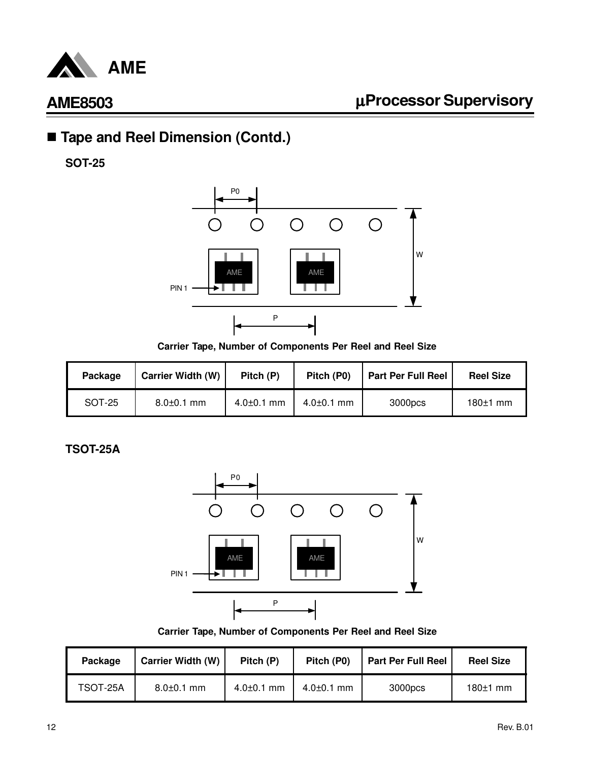

# ■ Tape and Reel Dimension (Contd.)

**SOT-25**



**Carrier Tape, Number of Components Per Reel and Reel Size**

| Package | <b>Carrier Width (W)</b> | Pitch (P)        | Pitch (P0)       | <b>Part Per Full Reel</b> | <b>Reel Size</b> |
|---------|--------------------------|------------------|------------------|---------------------------|------------------|
| SOT-25  | $8.0 \pm 0.1$ mm         | $4.0 \pm 0.1$ mm | $4.0{\pm}0.1$ mm | 3000pcs                   | $180±1$ mm       |

**TSOT-25A**



**Carrier Tape, Number of Components Per Reel and Reel Size**

| Package  | <b>Carrier Width (W)</b> | Pitch (P)        | Pitch (P0)       | <b>Part Per Full Reel</b> | <b>Reel Size</b> |
|----------|--------------------------|------------------|------------------|---------------------------|------------------|
| TSOT-25A | $8.0 \pm 0.1$ mm         | $4.0 \pm 0.1$ mm | $4.0{\pm}0.1$ mm | 3000pcs                   | $180±1$ mm       |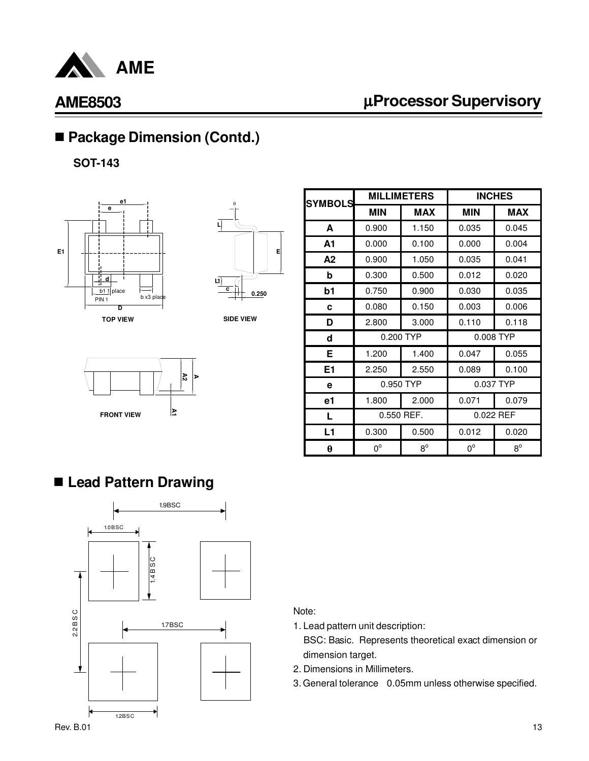

# µ**Processor Supervisory**

# ■ Package Dimension (Contd.)

**SOT-143**





**SIDE VIEW**



| <b>SYMBOLS</b> |              | <b>MILLIMETERS</b> | <b>INCHES</b> |             |  |
|----------------|--------------|--------------------|---------------|-------------|--|
|                | <b>MIN</b>   | <b>MAX</b>         | <b>MIN</b>    | <b>MAX</b>  |  |
| A              | 0.900        | 1.150              | 0.035         | 0.045       |  |
| A1             | 0.000        | 0.100              | 0.000         | 0.004       |  |
| A2             | 0.900        | 1.050              | 0.035         | 0.041       |  |
| b              | 0.300        | 0.500              | 0.012         | 0.020       |  |
| b1             | 0.750        | 0.900              | 0.030         | 0.035       |  |
| C              | 0.080        | 0.150              | 0.003         | 0.006       |  |
| D              | 2.800        | 3.000              | 0.110         | 0.118       |  |
| d              |              | 0.200 TYP          | 0.008 TYP     |             |  |
| Е              | 1.200        | 1.400              | 0.047         | 0.055       |  |
| Ε1             | 2.250        | 2.550              | 0.089         | 0.100       |  |
| е              |              | 0.950 TYP          |               | 0.037 TYP   |  |
| e1             | 1.800        | 2.000              | 0.071         | 0.079       |  |
| L              | $0.550$ REF. |                    | 0.022 REF     |             |  |
| L1             | 0.300        | 0.500              | 0.012         | 0.020       |  |
| θ              | $0^{\circ}$  | $8^{\circ}$        | $0^{\circ}$   | $8^{\circ}$ |  |

### n **Lead Pattern Drawing**



Note:

1. Lead pattern unit description:

 BSC: Basic. Represents theoretical exact dimension or dimension target.

- 2. Dimensions in Millimeters.
- 3. General tolerance 0.05mm unless otherwise specified.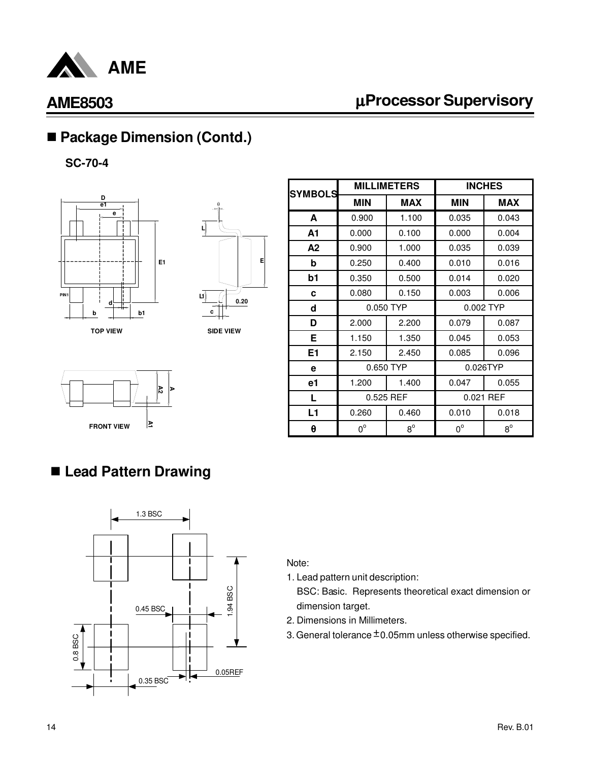

# µ**Processor Supervisory**

# ■ Package Dimension (Contd.)

**SC-70-4**





**SIDE VIEW**



### **FRONT VIEW A1 A2 A**

# ■ Lead Pattern Drawing



Note:

1. Lead pattern unit description:

 BSC: Basic. Represents theoretical exact dimension or dimension target.

- 2. Dimensions in Millimeters.
- 3. General tolerance  $\pm$  0.05mm unless otherwise specified.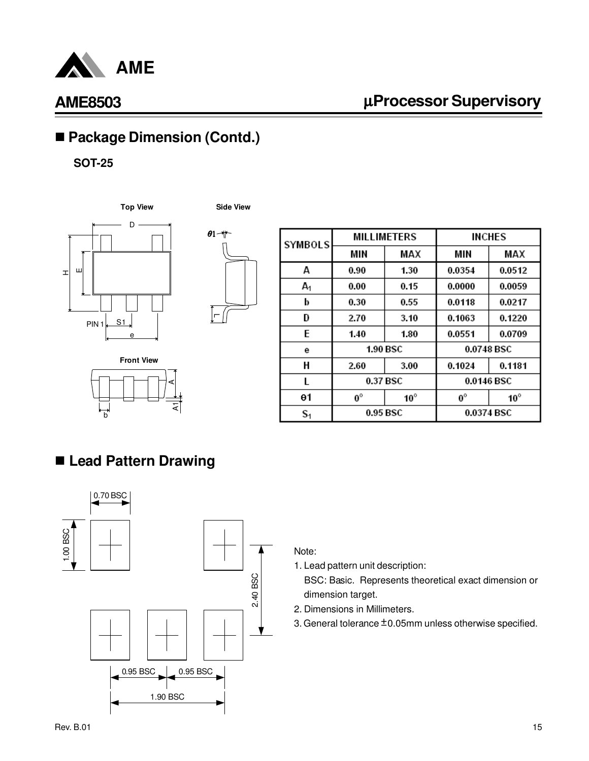

# µ**Processor Supervisory**

# ■ Package Dimension (Contd.)

**SOT-25**





| $\theta$ 1 + |  |
|--------------|--|
|              |  |
|              |  |
|              |  |
|              |  |
|              |  |
|              |  |
|              |  |
|              |  |
|              |  |

| <b>SYMBOLS</b> | <b>MILLIMETERS</b> |              | <b>INCHES</b> |              |
|----------------|--------------------|--------------|---------------|--------------|
|                | MIN                | MAX          | MIN           | MAX          |
| А              | 0.90               | 1.30         | 0.0354        | 0.0512       |
| $A_1$          | 0.00               | 0.15         | 0.0000        | 0.0059       |
| b              | 0.30               | 0.55         | 0.0118        | 0.0217       |
| D              | 2.70               | 3.10         | 0.1063        | 0.1220       |
| E              | 1.40               | 1.80         | 0.0551        | 0.0709       |
| е              | <b>1.90 BSC</b>    |              | 0.0748 BSC    |              |
| Н              | 2.60               | 3.00         | 0.1024        | 0.1181       |
| L              | 0.37 BSC           |              | 0.0146 BSC    |              |
| θ1             | $0^{\circ}$        | $10^{\circ}$ | $0^{\circ}$   | $10^{\circ}$ |
| S <sub>1</sub> | 0.95 BSC           |              | 0.0374 BSC    |              |

# n **Lead Pattern Drawing**



### Note:

1. Lead pattern unit description:

 BSC: Basic. Represents theoretical exact dimension or dimension target.

- 2. Dimensions in Millimeters.
- 3. General tolerance  $\pm$  0.05mm unless otherwise specified.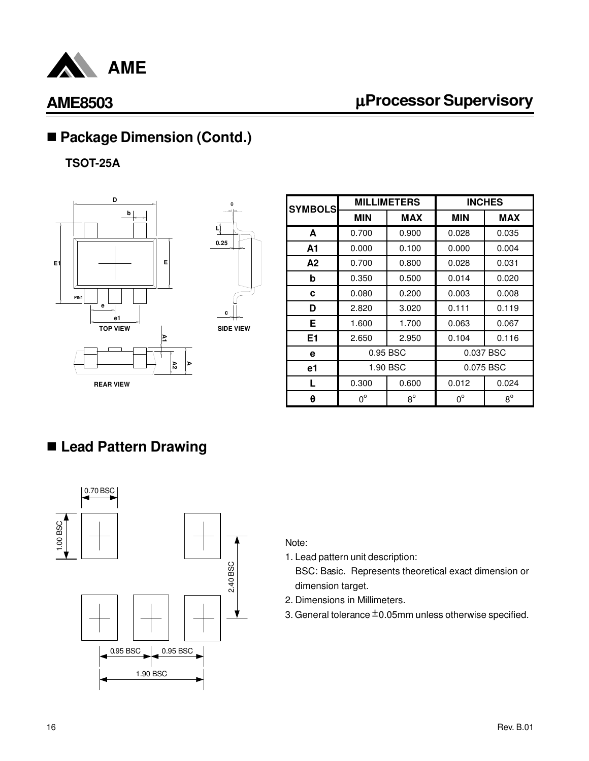

# µ**Processor Supervisory**

# ■ Package Dimension (Contd.)

**TSOT-25A**





| <b>SYMBOLS</b> | <b>MILLIMETERS</b> |             | <b>INCHES</b> |             |
|----------------|--------------------|-------------|---------------|-------------|
|                | <b>MIN</b>         | <b>MAX</b>  | <b>MIN</b>    | <b>MAX</b>  |
| A              | 0.700              | 0.900       | 0.028         | 0.035       |
| A1             | 0.000              | 0.100       | 0.000         | 0.004       |
| A <sub>2</sub> | 0.700              | 0.800       | 0.028         | 0.031       |
| b              | 0.350              | 0.500       | 0.014         | 0.020       |
| c              | 0.080              | 0.200       | 0.003         | 0.008       |
| D              | 2.820              | 3.020       | 0.111         | 0.119       |
| Е              | 1.600              | 1.700       | 0.063         | 0.067       |
| E <sub>1</sub> | 2.650              | 2.950       | 0.104         | 0.116       |
| е              | 0.95 BSC           |             | 0.037 BSC     |             |
| e1             | 1.90 BSC           |             | 0.075 BSC     |             |
| L              | 0.300              | 0.600       | 0.012         | 0.024       |
| θ              | $0^{\circ}$        | $8^{\circ}$ | $0^{\circ}$   | $8^{\circ}$ |

# n **Lead Pattern Drawing**



#### Note:

- 1. Lead pattern unit description:
	- BSC: Basic. Represents theoretical exact dimension or dimension target.
- 2. Dimensions in Millimeters.
- 3. General tolerance  $\pm$  0.05mm unless otherwise specified.